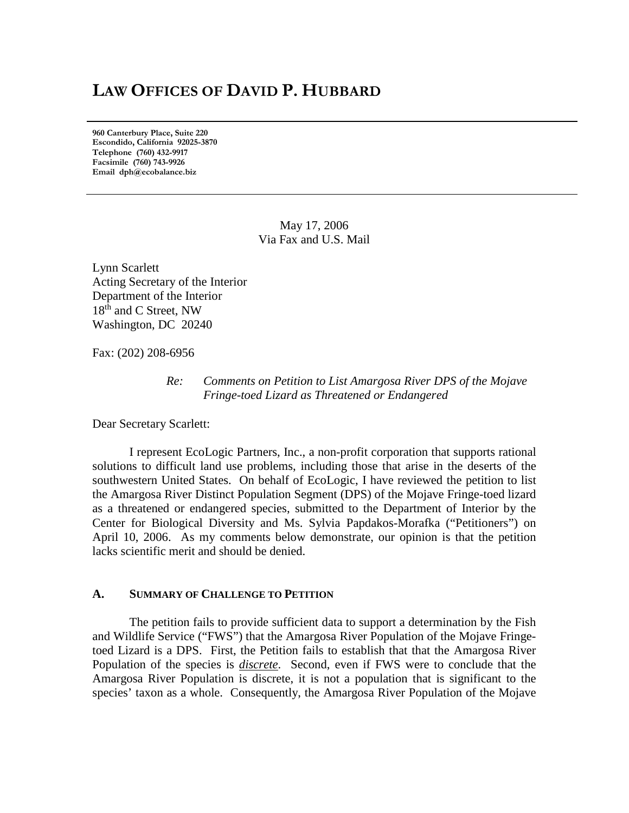# **LAW OFFICES OF DAVID P. HUBBARD**

**960 Canterbury Place, Suite 220 Escondido, California 92025-3870 Telephone (760) 432-9917 Facsimile (760) 743-9926 Email dph@ecobalance.biz**

> May 17, 2006 Via Fax and U.S. Mail

Lynn Scarlett Acting Secretary of the Interior Department of the Interior 18<sup>th</sup> and C Street, NW Washington, DC 20240

Fax: (202) 208-6956

## *Re: Comments on Petition to List Amargosa River DPS of the Mojave Fringe-toed Lizard as Threatened or Endangered*

Dear Secretary Scarlett:

I represent EcoLogic Partners, Inc., a non-profit corporation that supports rational solutions to difficult land use problems, including those that arise in the deserts of the southwestern United States. On behalf of EcoLogic, I have reviewed the petition to list the Amargosa River Distinct Population Segment (DPS) of the Mojave Fringe-toed lizard as a threatened or endangered species, submitted to the Department of Interior by the Center for Biological Diversity and Ms. Sylvia Papdakos-Morafka ("Petitioners") on April 10, 2006. As my comments below demonstrate, our opinion is that the petition lacks scientific merit and should be denied.

## **A. SUMMARY OF CHALLENGE TO PETITION**

The petition fails to provide sufficient data to support a determination by the Fish and Wildlife Service ("FWS") that the Amargosa River Population of the Mojave Fringetoed Lizard is a DPS. First, the Petition fails to establish that that the Amargosa River Population of the species is *discrete*. Second, even if FWS were to conclude that the Amargosa River Population is discrete, it is not a population that is significant to the species' taxon as a whole. Consequently, the Amargosa River Population of the Mojave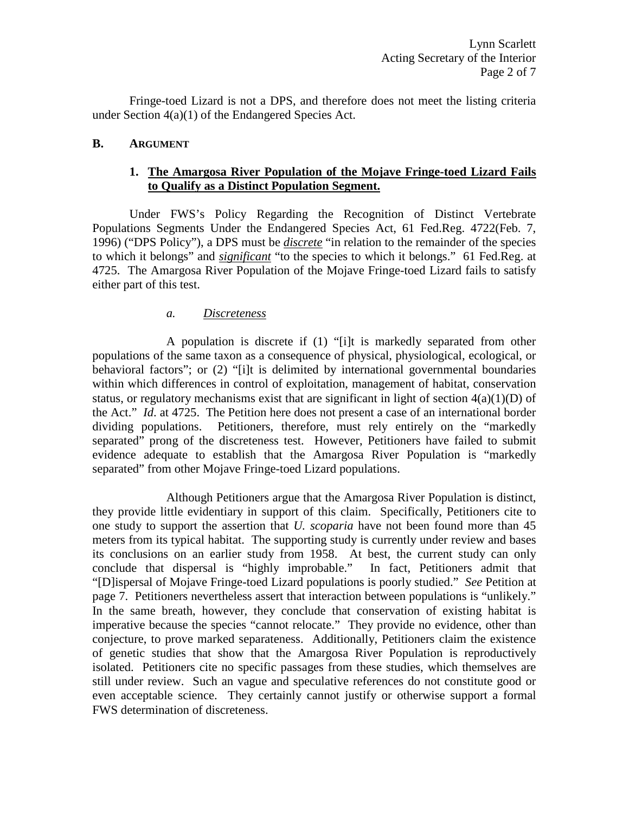Fringe-toed Lizard is not a DPS, and therefore does not meet the listing criteria under Section 4(a)(1) of the Endangered Species Act.

## **B. ARGUMENT**

# **1. The Amargosa River Population of the Mojave Fringe-toed Lizard Fails to Qualify as a Distinct Population Segment.**

Under FWS's Policy Regarding the Recognition of Distinct Vertebrate Populations Segments Under the Endangered Species Act, 61 Fed.Reg. 4722(Feb. 7, 1996) ("DPS Policy"), a DPS must be *discrete* "in relation to the remainder of the species to which it belongs" and *significant* "to the species to which it belongs." 61 Fed.Reg. at 4725. The Amargosa River Population of the Mojave Fringe-toed Lizard fails to satisfy either part of this test.

# *a. Discreteness*

A population is discrete if (1) "[i]t is markedly separated from other populations of the same taxon as a consequence of physical, physiological, ecological, or behavioral factors"; or (2) "[i]t is delimited by international governmental boundaries within which differences in control of exploitation, management of habitat, conservation status, or regulatory mechanisms exist that are significant in light of section  $4(a)(1)(D)$  of the Act." *Id*. at 4725. The Petition here does not present a case of an international border dividing populations. Petitioners, therefore, must rely entirely on the "markedly separated" prong of the discreteness test. However, Petitioners have failed to submit evidence adequate to establish that the Amargosa River Population is "markedly separated" from other Mojave Fringe-toed Lizard populations.

Although Petitioners argue that the Amargosa River Population is distinct, they provide little evidentiary in support of this claim. Specifically, Petitioners cite to one study to support the assertion that *U. scoparia* have not been found more than 45 meters from its typical habitat. The supporting study is currently under review and bases its conclusions on an earlier study from 1958. At best, the current study can only conclude that dispersal is "highly improbable." In fact, Petitioners admit that "[D]ispersal of Mojave Fringe-toed Lizard populations is poorly studied." *See* Petition at page 7. Petitioners nevertheless assert that interaction between populations is "unlikely." In the same breath, however, they conclude that conservation of existing habitat is imperative because the species "cannot relocate." They provide no evidence, other than conjecture, to prove marked separateness. Additionally, Petitioners claim the existence of genetic studies that show that the Amargosa River Population is reproductively isolated. Petitioners cite no specific passages from these studies, which themselves are still under review. Such an vague and speculative references do not constitute good or even acceptable science. They certainly cannot justify or otherwise support a formal FWS determination of discreteness.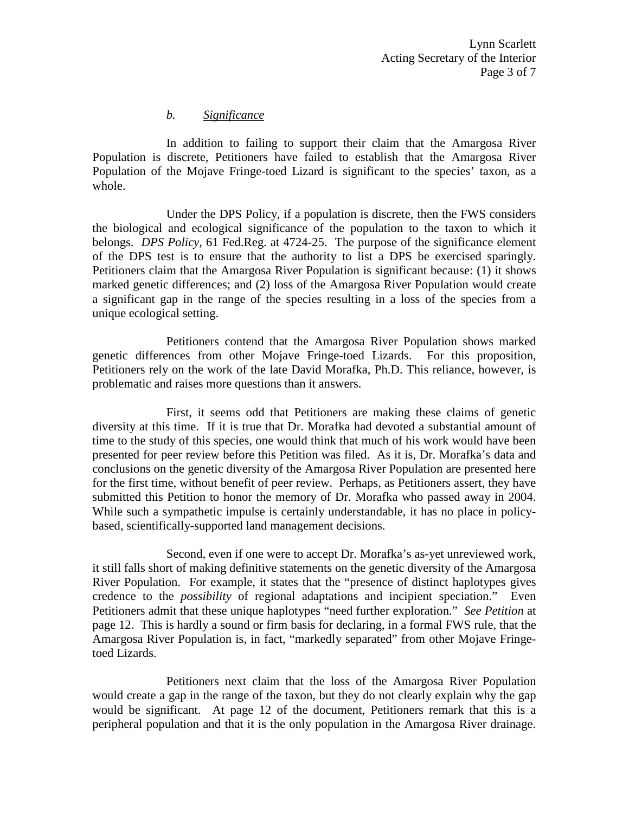#### *b. Significance*

In addition to failing to support their claim that the Amargosa River Population is discrete, Petitioners have failed to establish that the Amargosa River Population of the Mojave Fringe-toed Lizard is significant to the species' taxon, as a whole.

Under the DPS Policy, if a population is discrete, then the FWS considers the biological and ecological significance of the population to the taxon to which it belongs. *DPS Policy*, 61 Fed.Reg. at 4724-25. The purpose of the significance element of the DPS test is to ensure that the authority to list a DPS be exercised sparingly. Petitioners claim that the Amargosa River Population is significant because: (1) it shows marked genetic differences; and (2) loss of the Amargosa River Population would create a significant gap in the range of the species resulting in a loss of the species from a unique ecological setting.

Petitioners contend that the Amargosa River Population shows marked genetic differences from other Mojave Fringe-toed Lizards. For this proposition, Petitioners rely on the work of the late David Morafka, Ph.D. This reliance, however, is problematic and raises more questions than it answers.

First, it seems odd that Petitioners are making these claims of genetic diversity at this time. If it is true that Dr. Morafka had devoted a substantial amount of time to the study of this species, one would think that much of his work would have been presented for peer review before this Petition was filed. As it is, Dr. Morafka's data and conclusions on the genetic diversity of the Amargosa River Population are presented here for the first time, without benefit of peer review. Perhaps, as Petitioners assert, they have submitted this Petition to honor the memory of Dr. Morafka who passed away in 2004. While such a sympathetic impulse is certainly understandable, it has no place in policybased, scientifically-supported land management decisions.

Second, even if one were to accept Dr. Morafka's as-yet unreviewed work, it still falls short of making definitive statements on the genetic diversity of the Amargosa River Population. For example, it states that the "presence of distinct haplotypes gives credence to the *possibility* of regional adaptations and incipient speciation." Even Petitioners admit that these unique haplotypes "need further exploration." *See Petition* at page 12. This is hardly a sound or firm basis for declaring, in a formal FWS rule, that the Amargosa River Population is, in fact, "markedly separated" from other Mojave Fringetoed Lizards.

Petitioners next claim that the loss of the Amargosa River Population would create a gap in the range of the taxon, but they do not clearly explain why the gap would be significant. At page 12 of the document, Petitioners remark that this is a peripheral population and that it is the only population in the Amargosa River drainage.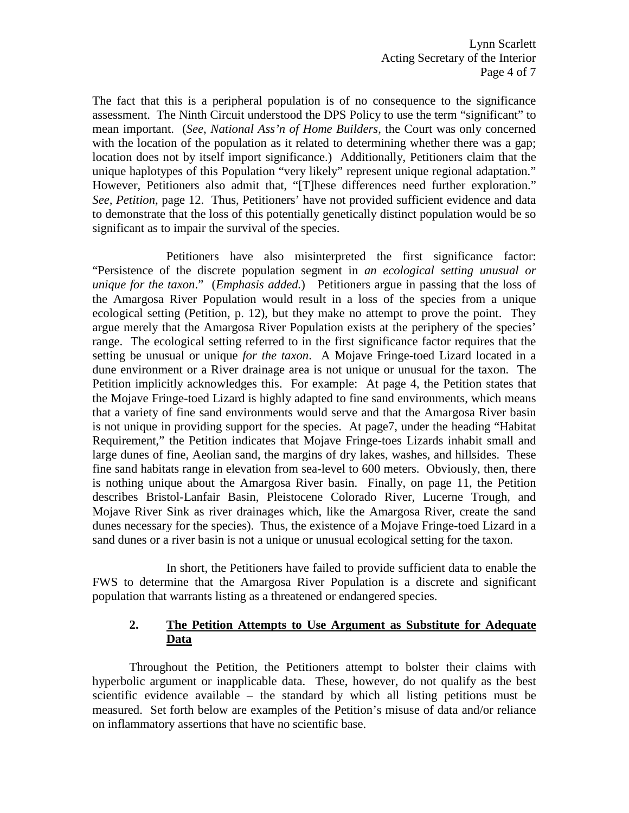The fact that this is a peripheral population is of no consequence to the significance assessment. The Ninth Circuit understood the DPS Policy to use the term "significant" to mean important. (*See*, *National Ass'n of Home Builders*, the Court was only concerned with the location of the population as it related to determining whether there was a gap; location does not by itself import significance.) Additionally, Petitioners claim that the unique haplotypes of this Population "very likely" represent unique regional adaptation." However, Petitioners also admit that, "[T]hese differences need further exploration." *See, Petition*, page 12. Thus, Petitioners' have not provided sufficient evidence and data to demonstrate that the loss of this potentially genetically distinct population would be so significant as to impair the survival of the species.

Petitioners have also misinterpreted the first significance factor: "Persistence of the discrete population segment in *an ecological setting unusual or unique for the taxon*." (*Emphasis added.*) Petitioners argue in passing that the loss of the Amargosa River Population would result in a loss of the species from a unique ecological setting (Petition, p. 12), but they make no attempt to prove the point. They argue merely that the Amargosa River Population exists at the periphery of the species' range. The ecological setting referred to in the first significance factor requires that the setting be unusual or unique *for the taxon*. A Mojave Fringe-toed Lizard located in a dune environment or a River drainage area is not unique or unusual for the taxon. The Petition implicitly acknowledges this. For example: At page 4, the Petition states that the Mojave Fringe-toed Lizard is highly adapted to fine sand environments, which means that a variety of fine sand environments would serve and that the Amargosa River basin is not unique in providing support for the species. At page7, under the heading "Habitat Requirement," the Petition indicates that Mojave Fringe-toes Lizards inhabit small and large dunes of fine, Aeolian sand, the margins of dry lakes, washes, and hillsides. These fine sand habitats range in elevation from sea-level to 600 meters. Obviously, then, there is nothing unique about the Amargosa River basin. Finally, on page 11, the Petition describes Bristol-Lanfair Basin, Pleistocene Colorado River, Lucerne Trough, and Mojave River Sink as river drainages which, like the Amargosa River, create the sand dunes necessary for the species). Thus, the existence of a Mojave Fringe-toed Lizard in a sand dunes or a river basin is not a unique or unusual ecological setting for the taxon.

In short, the Petitioners have failed to provide sufficient data to enable the FWS to determine that the Amargosa River Population is a discrete and significant population that warrants listing as a threatened or endangered species.

# **2. The Petition Attempts to Use Argument as Substitute for Adequate Data**

Throughout the Petition, the Petitioners attempt to bolster their claims with hyperbolic argument or inapplicable data. These, however, do not qualify as the best scientific evidence available – the standard by which all listing petitions must be measured. Set forth below are examples of the Petition's misuse of data and/or reliance on inflammatory assertions that have no scientific base.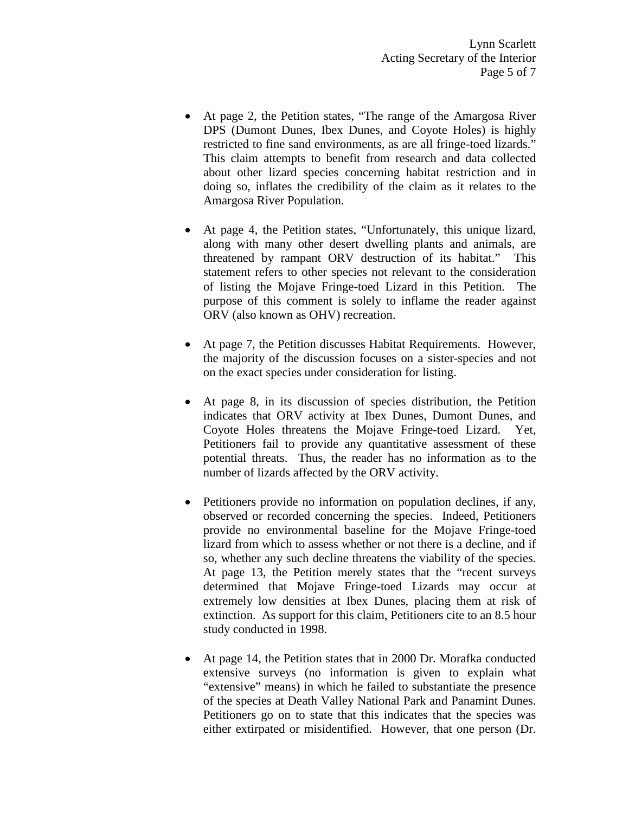- At page 2, the Petition states, "The range of the Amargosa River DPS (Dumont Dunes, Ibex Dunes, and Coyote Holes) is highly restricted to fine sand environments, as are all fringe-toed lizards." This claim attempts to benefit from research and data collected about other lizard species concerning habitat restriction and in doing so, inflates the credibility of the claim as it relates to the Amargosa River Population.
- At page 4, the Petition states, "Unfortunately, this unique lizard, along with many other desert dwelling plants and animals, are threatened by rampant ORV destruction of its habitat." This statement refers to other species not relevant to the consideration of listing the Mojave Fringe-toed Lizard in this Petition. The purpose of this comment is solely to inflame the reader against ORV (also known as OHV) recreation.
- At page 7, the Petition discusses Habitat Requirements. However, the majority of the discussion focuses on a sister-species and not on the exact species under consideration for listing.
- At page 8, in its discussion of species distribution, the Petition indicates that ORV activity at Ibex Dunes, Dumont Dunes, and Coyote Holes threatens the Mojave Fringe-toed Lizard. Yet, Petitioners fail to provide any quantitative assessment of these potential threats. Thus, the reader has no information as to the number of lizards affected by the ORV activity.
- Petitioners provide no information on population declines, if any, observed or recorded concerning the species. Indeed, Petitioners provide no environmental baseline for the Mojave Fringe-toed lizard from which to assess whether or not there is a decline, and if so, whether any such decline threatens the viability of the species. At page 13, the Petition merely states that the "recent surveys determined that Mojave Fringe-toed Lizards may occur at extremely low densities at Ibex Dunes, placing them at risk of extinction. As support for this claim, Petitioners cite to an 8.5 hour study conducted in 1998.
- At page 14, the Petition states that in 2000 Dr. Morafka conducted extensive surveys (no information is given to explain what "extensive" means) in which he failed to substantiate the presence of the species at Death Valley National Park and Panamint Dunes. Petitioners go on to state that this indicates that the species was either extirpated or misidentified. However, that one person (Dr.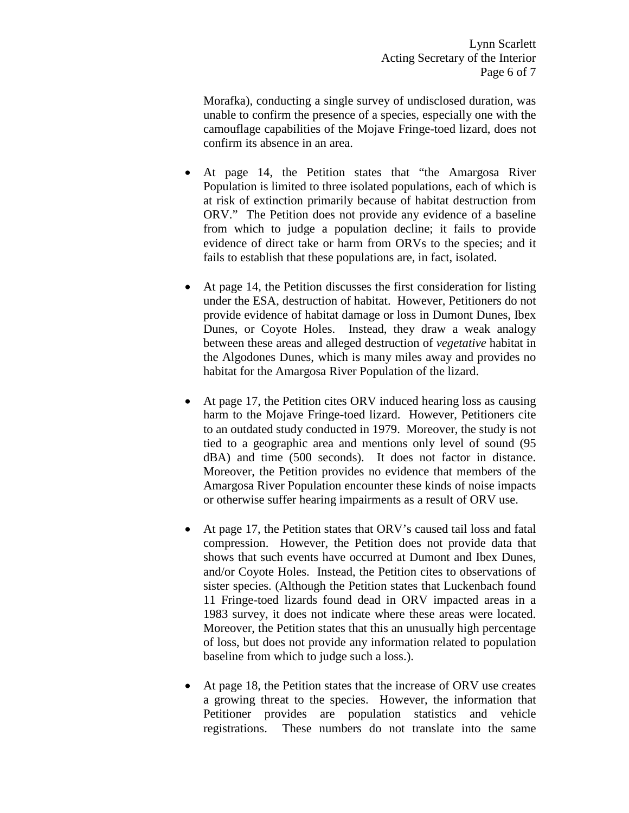Morafka), conducting a single survey of undisclosed duration, was unable to confirm the presence of a species, especially one with the camouflage capabilities of the Mojave Fringe-toed lizard, does not confirm its absence in an area.

- At page 14, the Petition states that "the Amargosa River Population is limited to three isolated populations, each of which is at risk of extinction primarily because of habitat destruction from ORV." The Petition does not provide any evidence of a baseline from which to judge a population decline; it fails to provide evidence of direct take or harm from ORVs to the species; and it fails to establish that these populations are, in fact, isolated.
- At page 14, the Petition discusses the first consideration for listing under the ESA, destruction of habitat. However, Petitioners do not provide evidence of habitat damage or loss in Dumont Dunes, Ibex Dunes, or Coyote Holes. Instead, they draw a weak analogy between these areas and alleged destruction of *vegetative* habitat in the Algodones Dunes, which is many miles away and provides no habitat for the Amargosa River Population of the lizard.
- At page 17, the Petition cites ORV induced hearing loss as causing harm to the Mojave Fringe-toed lizard. However, Petitioners cite to an outdated study conducted in 1979. Moreover, the study is not tied to a geographic area and mentions only level of sound (95 dBA) and time (500 seconds). It does not factor in distance. Moreover, the Petition provides no evidence that members of the Amargosa River Population encounter these kinds of noise impacts or otherwise suffer hearing impairments as a result of ORV use.
- At page 17, the Petition states that ORV's caused tail loss and fatal compression. However, the Petition does not provide data that shows that such events have occurred at Dumont and Ibex Dunes, and/or Coyote Holes. Instead, the Petition cites to observations of sister species. (Although the Petition states that Luckenbach found 11 Fringe-toed lizards found dead in ORV impacted areas in a 1983 survey, it does not indicate where these areas were located. Moreover, the Petition states that this an unusually high percentage of loss, but does not provide any information related to population baseline from which to judge such a loss.).
- At page 18, the Petition states that the increase of ORV use creates a growing threat to the species. However, the information that Petitioner provides are population statistics and vehicle registrations. These numbers do not translate into the same